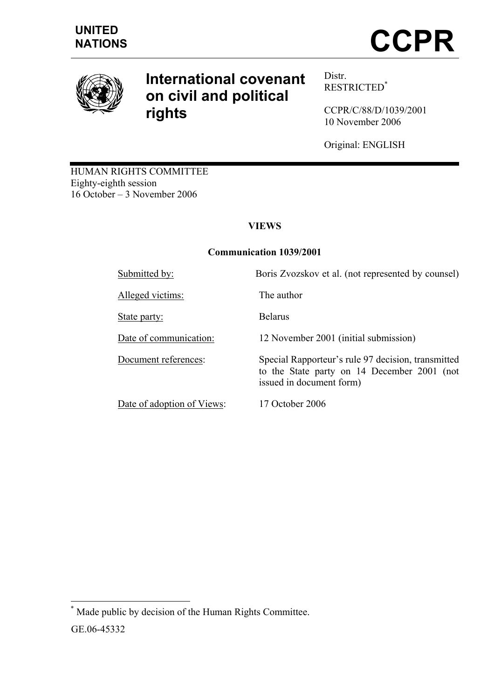

# **International covenant on civil and political rights**

Distr. RESTRICTED\*

CCPR/C/88/D/1039/2001 10 November 2006

Original: ENGLISH

HUMAN RIGHTS COMMITTEE Eighty-eighth session 16 October – 3 November 2006

# **VIEWS**

## **Communication 1039/2001**

Alleged victims: The author

State party: Belarus

Date of adoption of Views: 17 October 2006

Submitted by: Boris Zvozskov et al. (not represented by counsel)

Date of communication: 12 November 2001 (initial submission)

Document references: Special Rapporteur's rule 97 decision, transmitted to the State party on 14 December 2001 (not issued in document form)

 $\overline{a}$ 

<sup>\*</sup> Made public by decision of the Human Rights Committee.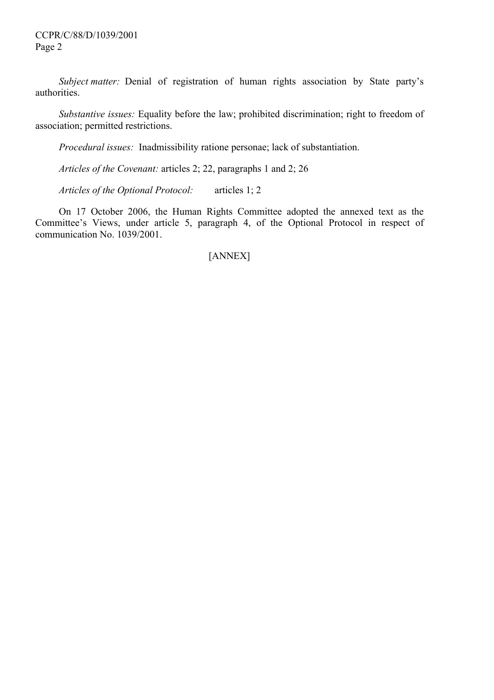*Subject matter:* Denial of registration of human rights association by State party's authorities.

 *Substantive issues:* Equality before the law; prohibited discrimination; right to freedom of association; permitted restrictions.

 *Procedural issues:* Inadmissibility ratione personae; lack of substantiation.

 *Articles of the Covenant:* articles 2; 22, paragraphs 1 and 2; 26

 *Articles of the Optional Protocol:* articles 1; 2

 On 17 October 2006, the Human Rights Committee adopted the annexed text as the Committee's Views, under article 5, paragraph 4, of the Optional Protocol in respect of communication No. 1039/2001.

## [ANNEX]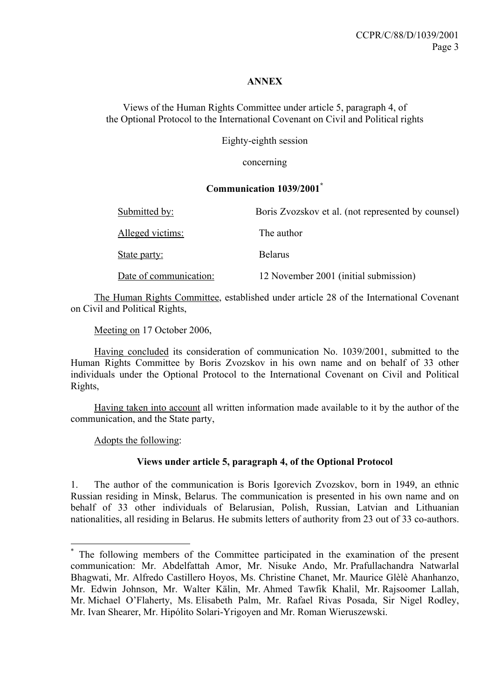## **ANNEX**

Views of the Human Rights Committee under article 5, paragraph 4, of the Optional Protocol to the International Covenant on Civil and Political rights

Eighty-eighth session

concerning

## **Communication 1039/2001\***

| Submitted by:          | Boris Zvozskov et al. (not represented by counsel) |
|------------------------|----------------------------------------------------|
| Alleged victims:       | The author                                         |
| State party:           | <b>Belarus</b>                                     |
| Date of communication: | 12 November 2001 (initial submission)              |

 The Human Rights Committee, established under article 28 of the International Covenant on Civil and Political Rights,

Meeting on 17 October 2006,

 Having concluded its consideration of communication No. 1039/2001, submitted to the Human Rights Committee by Boris Zvozskov in his own name and on behalf of 33 other individuals under the Optional Protocol to the International Covenant on Civil and Political Rights,

 Having taken into account all written information made available to it by the author of the communication, and the State party,

Adopts the following:

 $\overline{a}$ 

## **Views under article 5, paragraph 4, of the Optional Protocol**

1. The author of the communication is Boris Igorevich Zvozskov, born in 1949, an ethnic Russian residing in Minsk, Belarus. The communication is presented in his own name and on behalf of 33 other individuals of Belarusian, Polish, Russian, Latvian and Lithuanian nationalities, all residing in Belarus. He submits letters of authority from 23 out of 33 co-authors.

<sup>\*</sup> The following members of the Committee participated in the examination of the present communication: Mr. Abdelfattah Amor, Mr. Nisuke Ando, Mr. Prafullachandra Natwarlal Bhagwati, Mr. Alfredo Castillero Hoyos, Ms. Christine Chanet, Mr. Maurice Glèlè Ahanhanzo, Mr. Edwin Johnson, Mr. Walter Kälin, Mr. Ahmed Tawfik Khalil, Mr. Rajsoomer Lallah, Mr. Michael O'Flaherty, Ms. Elisabeth Palm, Mr. Rafael Rivas Posada, Sir Nigel Rodley, Mr. Ivan Shearer, Mr. Hipólito Solari-Yrigoyen and Mr. Roman Wieruszewski.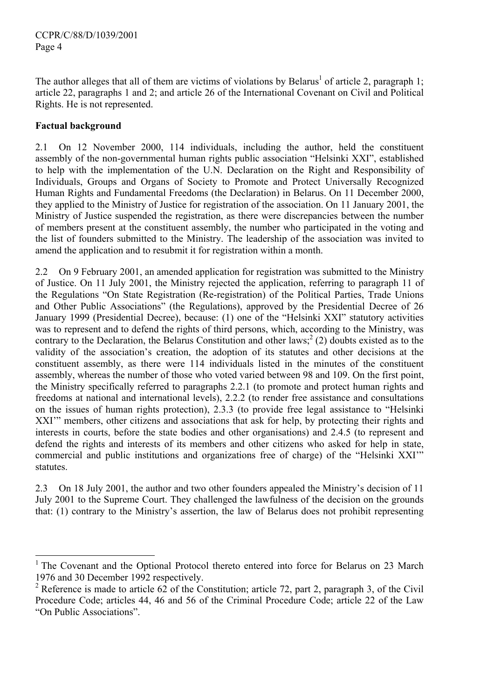The author alleges that all of them are victims of violations by Belarus<sup>1</sup> of article 2, paragraph 1; article 22, paragraphs 1 and 2; and article 26 of the International Covenant on Civil and Political Rights. He is not represented.

## **Factual background**

2.1 On 12 November 2000, 114 individuals, including the author, held the constituent assembly of the non-governmental human rights public association "Helsinki XXI", established to help with the implementation of the U.N. Declaration on the Right and Responsibility of Individuals, Groups and Organs of Society to Promote and Protect Universally Recognized Human Rights and Fundamental Freedoms (the Declaration) in Belarus. On 11 December 2000, they applied to the Ministry of Justice for registration of the association. On 11 January 2001, the Ministry of Justice suspended the registration, as there were discrepancies between the number of members present at the constituent assembly, the number who participated in the voting and the list of founders submitted to the Ministry. The leadership of the association was invited to amend the application and to resubmit it for registration within a month.

2.2 On 9 February 2001, an amended application for registration was submitted to the Ministry of Justice. On 11 July 2001, the Ministry rejected the application, referring to paragraph 11 of the Regulations "On State Registration (Re-registration) of the Political Parties, Trade Unions and Other Public Associations" (the Regulations), approved by the Presidential Decree of 26 January 1999 (Presidential Decree), because: (1) one of the "Helsinki XXI" statutory activities was to represent and to defend the rights of third persons, which, according to the Ministry, was contrary to the Declaration, the Belarus Constitution and other  $laws<sub>i</sub><sup>2</sup>(2)$  doubts existed as to the validity of the association's creation, the adoption of its statutes and other decisions at the constituent assembly, as there were 114 individuals listed in the minutes of the constituent assembly, whereas the number of those who voted varied between 98 and 109. On the first point, the Ministry specifically referred to paragraphs 2.2.1 (to promote and protect human rights and freedoms at national and international levels), 2.2.2 (to render free assistance and consultations on the issues of human rights protection), 2.3.3 (to provide free legal assistance to "Helsinki XXI" members, other citizens and associations that ask for help, by protecting their rights and interests in courts, before the state bodies and other organisations) and 2.4.5 (to represent and defend the rights and interests of its members and other citizens who asked for help in state, commercial and public institutions and organizations free of charge) of the "Helsinki XXI'" statutes.

2.3 On 18 July 2001, the author and two other founders appealed the Ministry's decision of 11 July 2001 to the Supreme Court. They challenged the lawfulness of the decision on the grounds that: (1) contrary to the Ministry's assertion, the law of Belarus does not prohibit representing

<sup>&</sup>lt;sup>1</sup> The Covenant and the Optional Protocol thereto entered into force for Belarus on 23 March 1976 and 30 December 1992 respectively.

<sup>&</sup>lt;sup>2</sup> Reference is made to article  $62$  of the Constitution; article 72, part 2, paragraph 3, of the Civil Procedure Code; articles 44, 46 and 56 of the Criminal Procedure Code; article 22 of the Law "On Public Associations".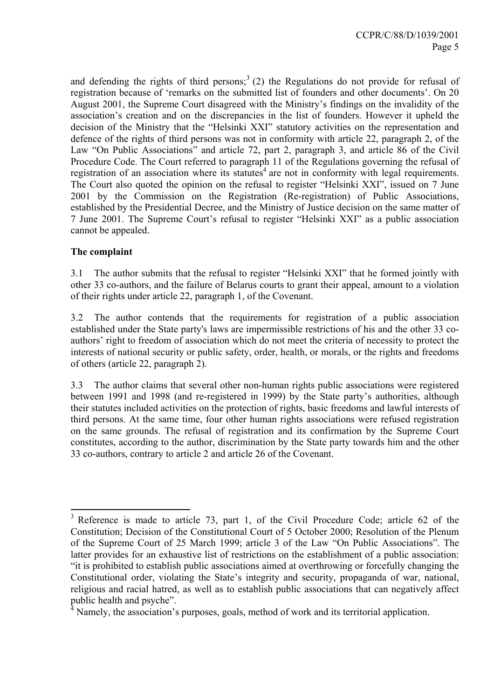and defending the rights of third persons;<sup>3</sup> (2) the Regulations do not provide for refusal of registration because of 'remarks on the submitted list of founders and other documents'. On 20 August 2001, the Supreme Court disagreed with the Ministry's findings on the invalidity of the association's creation and on the discrepancies in the list of founders. However it upheld the decision of the Ministry that the "Helsinki XXI" statutory activities on the representation and defence of the rights of third persons was not in conformity with article 22, paragraph 2, of the Law "On Public Associations" and article 72, part 2, paragraph 3, and article 86 of the Civil Procedure Code. The Court referred to paragraph 11 of the Regulations governing the refusal of registration of an association where its statutes<sup>4</sup> are not in conformity with legal requirements. The Court also quoted the opinion on the refusal to register "Helsinki XXI", issued on 7 June 2001 by the Commission on the Registration (Re-registration) of Public Associations, established by the Presidential Decree, and the Ministry of Justice decision on the same matter of 7 June 2001. The Supreme Court's refusal to register "Helsinki XXI" as a public association cannot be appealed.

## **The complaint**

 $\overline{a}$ 

3.1 The author submits that the refusal to register "Helsinki XXI" that he formed jointly with other 33 co-authors, and the failure of Belarus courts to grant their appeal, amount to a violation of their rights under article 22, paragraph 1, of the Covenant.

3.2 The author contends that the requirements for registration of a public association established under the State party's laws are impermissible restrictions of his and the other 33 coauthors' right to freedom of association which do not meet the criteria of necessity to protect the interests of national security or public safety, order, health, or morals, or the rights and freedoms of others (article 22, paragraph 2).

3.3 The author claims that several other non-human rights public associations were registered between 1991 and 1998 (and re-registered in 1999) by the State party's authorities, although their statutes included activities on the protection of rights, basic freedoms and lawful interests of third persons. At the same time, four other human rights associations were refused registration on the same grounds. The refusal of registration and its confirmation by the Supreme Court constitutes, according to the author, discrimination by the State party towards him and the other 33 co-authors, contrary to article 2 and article 26 of the Covenant.

<sup>&</sup>lt;sup>3</sup> Reference is made to article 73, part 1, of the Civil Procedure Code; article 62 of the Constitution; Decision of the Constitutional Court of 5 October 2000; Resolution of the Plenum of the Supreme Court of 25 March 1999; article 3 of the Law "On Public Associations". The latter provides for an exhaustive list of restrictions on the establishment of a public association: "it is prohibited to establish public associations aimed at overthrowing or forcefully changing the Constitutional order, violating the State's integrity and security, propaganda of war, national, religious and racial hatred, as well as to establish public associations that can negatively affect

public health and psyche".<br><sup>4</sup> Namely, the association's purposes, goals, method of work and its territorial application.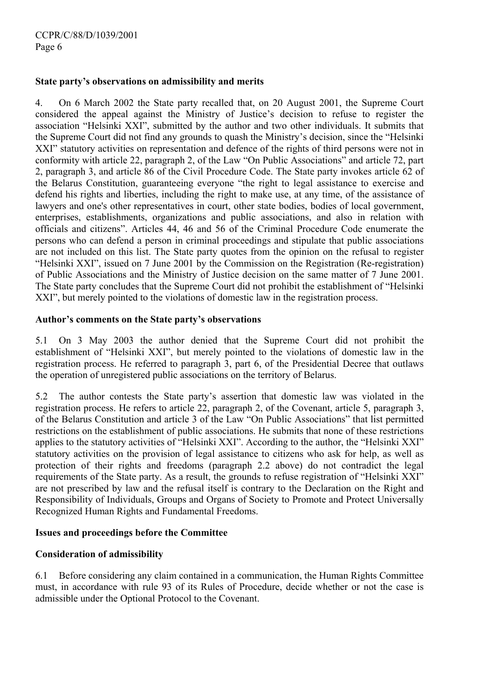## **State party's observations on admissibility and merits**

4. On 6 March 2002 the State party recalled that, on 20 August 2001, the Supreme Court considered the appeal against the Ministry of Justice's decision to refuse to register the association "Helsinki XXI", submitted by the author and two other individuals. It submits that the Supreme Court did not find any grounds to quash the Ministry's decision, since the "Helsinki XXI" statutory activities on representation and defence of the rights of third persons were not in conformity with article 22, paragraph 2, of the Law "On Public Associations" and article 72, part 2, paragraph 3, and article 86 of the Civil Procedure Code. The State party invokes article 62 of the Belarus Constitution, guaranteeing everyone "the right to legal assistance to exercise and defend his rights and liberties, including the right to make use, at any time, of the assistance of lawyers and one's other representatives in court, other state bodies, bodies of local government, enterprises, establishments, organizations and public associations, and also in relation with officials and citizens". Articles 44, 46 and 56 of the Criminal Procedure Code enumerate the persons who can defend a person in criminal proceedings and stipulate that public associations are not included on this list. The State party quotes from the opinion on the refusal to register "Helsinki XXI", issued on 7 June 2001 by the Commission on the Registration (Re-registration) of Public Associations and the Ministry of Justice decision on the same matter of 7 June 2001. The State party concludes that the Supreme Court did not prohibit the establishment of "Helsinki XXI", but merely pointed to the violations of domestic law in the registration process.

## **Author's comments on the State party's observations**

5.1 On 3 May 2003 the author denied that the Supreme Court did not prohibit the establishment of "Helsinki XXI", but merely pointed to the violations of domestic law in the registration process. He referred to paragraph 3, part 6, of the Presidential Decree that outlaws the operation of unregistered public associations on the territory of Belarus.

5.2 The author contests the State party's assertion that domestic law was violated in the registration process. He refers to article 22, paragraph 2, of the Covenant, article 5, paragraph 3, of the Belarus Constitution and article 3 of the Law "On Public Associations" that list permitted restrictions on the establishment of public associations. He submits that none of these restrictions applies to the statutory activities of "Helsinki XXI". According to the author, the "Helsinki XXI" statutory activities on the provision of legal assistance to citizens who ask for help, as well as protection of their rights and freedoms (paragraph 2.2 above) do not contradict the legal requirements of the State party. As a result, the grounds to refuse registration of "Helsinki XXI" are not prescribed by law and the refusal itself is contrary to the Declaration on the Right and Responsibility of Individuals, Groups and Organs of Society to Promote and Protect Universally Recognized Human Rights and Fundamental Freedoms.

#### **Issues and proceedings before the Committee**

## **Consideration of admissibility**

6.1 Before considering any claim contained in a communication, the Human Rights Committee must, in accordance with rule 93 of its Rules of Procedure, decide whether or not the case is admissible under the Optional Protocol to the Covenant.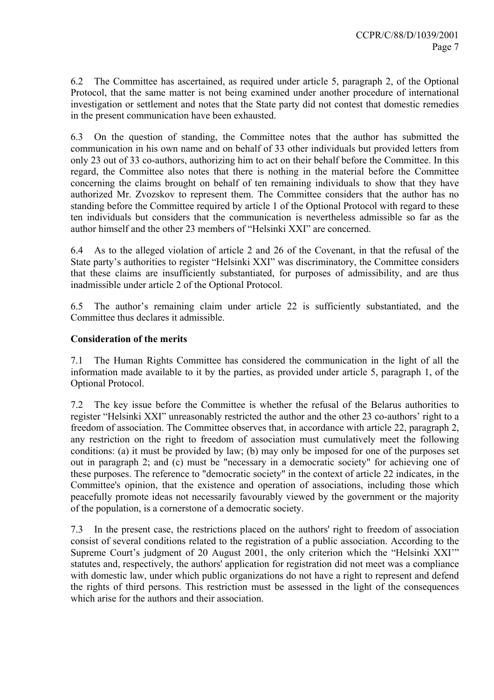6.2 The Committee has ascertained, as required under article 5, paragraph 2, of the Optional Protocol, that the same matter is not being examined under another procedure of international investigation or settlement and notes that the State party did not contest that domestic remedies in the present communication have been exhausted.

6.3 On the question of standing, the Committee notes that the author has submitted the communication in his own name and on behalf of 33 other individuals but provided letters from only 23 out of 33 co-authors, authorizing him to act on their behalf before the Committee. In this regard, the Committee also notes that there is nothing in the material before the Committee concerning the claims brought on behalf of ten remaining individuals to show that they have authorized Mr. Zvozskov to represent them. The Committee considers that the author has no standing before the Committee required by article 1 of the Optional Protocol with regard to these ten individuals but considers that the communication is nevertheless admissible so far as the author himself and the other 23 members of "Helsinki XXI" are concerned.

6.4 As to the alleged violation of article 2 and 26 of the Covenant, in that the refusal of the State party's authorities to register "Helsinki XXI" was discriminatory, the Committee considers that these claims are insufficiently substantiated, for purposes of admissibility, and are thus inadmissible under article 2 of the Optional Protocol.

6.5 The author's remaining claim under article 22 is sufficiently substantiated, and the Committee thus declares it admissible.

## **Consideration of the merits**

7.1 The Human Rights Committee has considered the communication in the light of all the information made available to it by the parties, as provided under article 5, paragraph 1, of the Optional Protocol.

7.2 The key issue before the Committee is whether the refusal of the Belarus authorities to register "Helsinki XXI" unreasonably restricted the author and the other 23 co-authors' right to a freedom of association. The Committee observes that, in accordance with article 22, paragraph 2, any restriction on the right to freedom of association must cumulatively meet the following conditions: (a) it must be provided by law; (b) may only be imposed for one of the purposes set out in paragraph 2; and (c) must be "necessary in a democratic society" for achieving one of these purposes. The reference to "democratic society" in the context of article 22 indicates, in the Committee's opinion, that the existence and operation of associations, including those which peacefully promote ideas not necessarily favourably viewed by the government or the majority of the population, is a cornerstone of a democratic society.

7.3 In the present case, the restrictions placed on the authors' right to freedom of association consist of several conditions related to the registration of a public association. According to the Supreme Court's judgment of 20 August 2001, the only criterion which the "Helsinki XXI" statutes and, respectively, the authors' application for registration did not meet was a compliance with domestic law, under which public organizations do not have a right to represent and defend the rights of third persons. This restriction must be assessed in the light of the consequences which arise for the authors and their association.